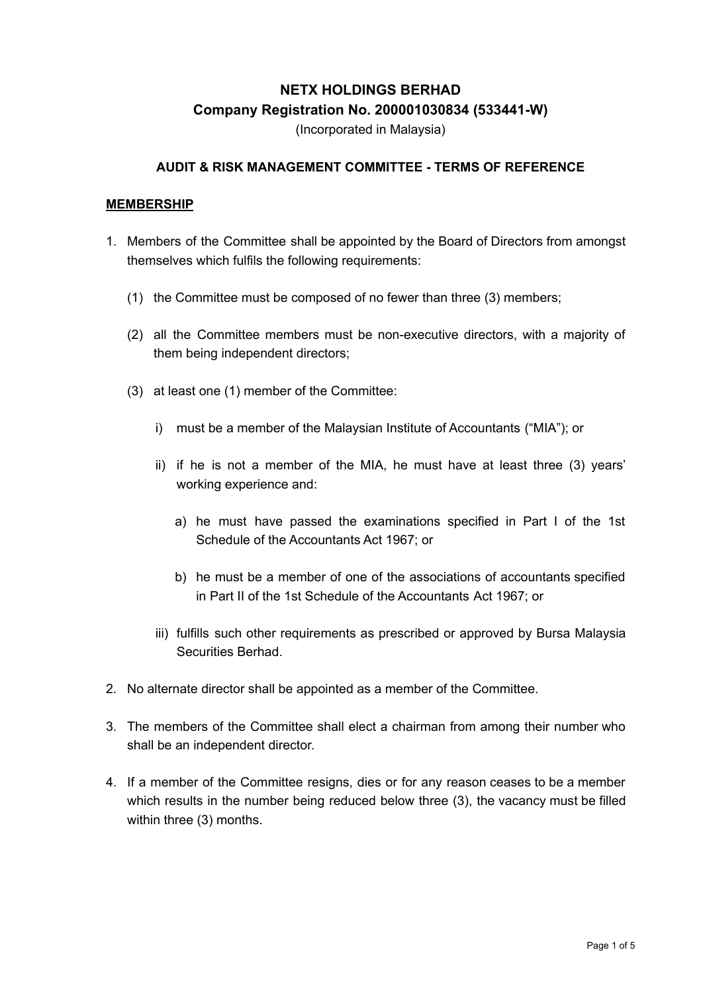# **NETX HOLDINGS BERHAD Company Registration No. 200001030834 (533441-W)**

(Incorporated in Malaysia)

### **AUDIT & RISK MANAGEMENT COMMITTEE - TERMS OF REFERENCE**

#### **MEMBERSHIP**

- 1. Members of the Committee shall be appointed by the Board of Directors from amongst themselves which fulfils the following requirements:
	- (1) the Committee must be composed of no fewer than three (3) members;
	- (2) all the Committee members must be non-executive directors, with a majority of them being independent directors;
	- (3) at least one (1) member of the Committee:
		- i) must be a member of the Malaysian Institute of Accountants ("MIA"); or
		- ii) if he is not a member of the MIA, he must have at least three (3) years' working experience and:
			- a) he must have passed the examinations specified in Part I of the 1st Schedule of the Accountants Act 1967; or
			- b) he must be a member of one of the associations of accountants specified in Part II of the 1st Schedule of the Accountants Act 1967; or
		- iii) fulfills such other requirements as prescribed or approved by Bursa Malaysia Securities Berhad.
- 2. No alternate director shall be appointed as a member of the Committee.
- 3. The members of the Committee shall elect a chairman from among their number who shall be an independent director.
- 4. If a member of the Committee resigns, dies or for any reason ceases to be a member which results in the number being reduced below three (3), the vacancy must be filled within three (3) months.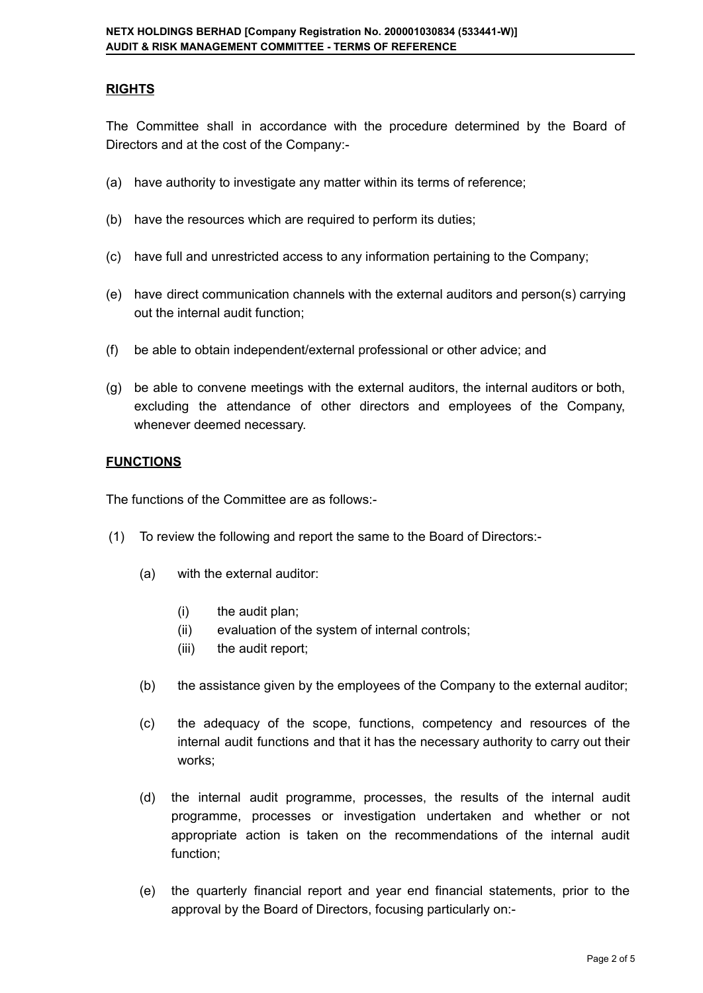## **RIGHTS**

The Committee shall in accordance with the procedure determined by the Board of Directors and at the cost of the Company:-

- (a) have authority to investigate any matter within its terms of reference;
- (b) have the resources which are required to perform its duties;
- (c) have full and unrestricted access to any information pertaining to the Company;
- (e) have direct communication channels with the external auditors and person(s) carrying out the internal audit function;
- (f) be able to obtain independent/external professional or other advice; and
- (g) be able to convene meetings with the external auditors, the internal auditors or both, excluding the attendance of other directors and employees of the Company, whenever deemed necessary.

### **FUNCTIONS**

The functions of the Committee are as follows:-

- (1) To review the following and report the same to the Board of Directors:-
	- (a) with the external auditor:
		- (i) the audit plan;
		- (ii) evaluation of the system of internal controls;
		- (iii) the audit report;
	- (b) the assistance given by the employees of the Company to the external auditor;
	- (c) the adequacy of the scope, functions, competency and resources of the internal audit functions and that it has the necessary authority to carry out their works;
	- (d) the internal audit programme, processes, the results of the internal audit programme, processes or investigation undertaken and whether or not appropriate action is taken on the recommendations of the internal audit function;
	- (e) the quarterly financial report and year end financial statements, prior to the approval by the Board of Directors, focusing particularly on:-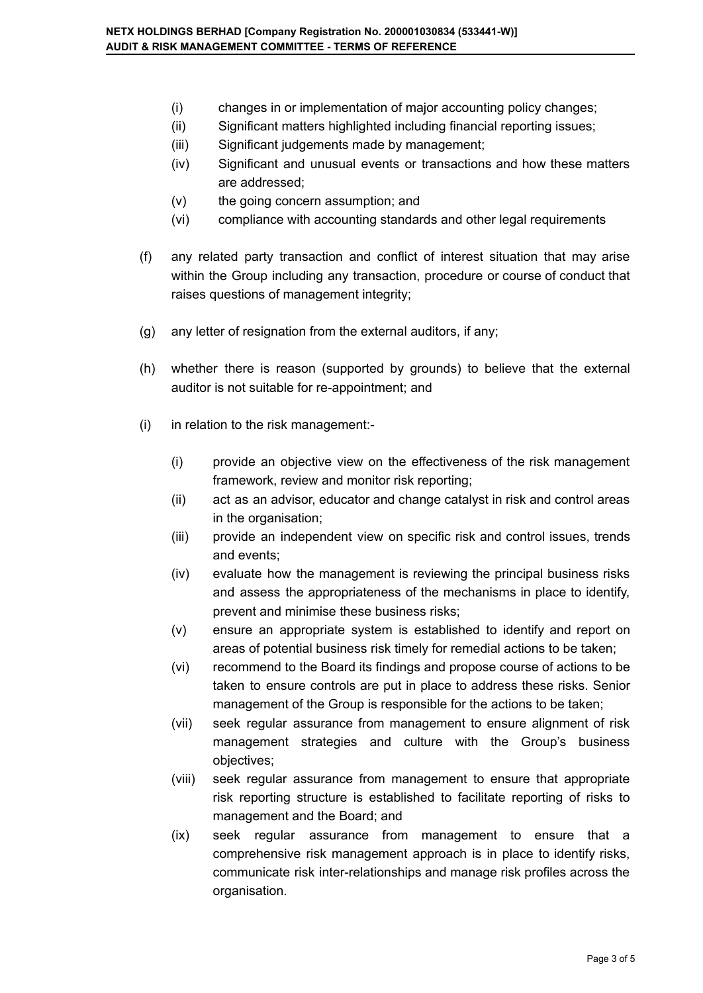- (i) changes in or implementation of major accounting policy changes;
- (ii) Significant matters highlighted including financial reporting issues;
- (iii) Significant judgements made by management;
- (iv) Significant and unusual events or transactions and how these matters are addressed;
- (v) the going concern assumption; and
- (vi) compliance with accounting standards and other legal requirements
- (f) any related party transaction and conflict of interest situation that may arise within the Group including any transaction, procedure or course of conduct that raises questions of management integrity;
- (g) any letter of resignation from the external auditors, if any;
- (h) whether there is reason (supported by grounds) to believe that the external auditor is not suitable for re-appointment; and
- (i) in relation to the risk management:-
	- (i) provide an objective view on the effectiveness of the risk management framework, review and monitor risk reporting;
	- (ii) act as an advisor, educator and change catalyst in risk and control areas in the organisation;
	- (iii) provide an independent view on specific risk and control issues, trends and events;
	- (iv) evaluate how the management is reviewing the principal business risks and assess the appropriateness of the mechanisms in place to identify, prevent and minimise these business risks;
	- (v) ensure an appropriate system is established to identify and report on areas of potential business risk timely for remedial actions to be taken;
	- (vi) recommend to the Board its findings and propose course of actions to be taken to ensure controls are put in place to address these risks. Senior management of the Group is responsible for the actions to be taken;
	- (vii) seek regular assurance from management to ensure alignment of risk management strategies and culture with the Group's business objectives;
	- (viii) seek regular assurance from management to ensure that appropriate risk reporting structure is established to facilitate reporting of risks to management and the Board; and
	- (ix) seek regular assurance from management to ensure that a comprehensive risk management approach is in place to identify risks, communicate risk inter-relationships and manage risk profiles across the organisation.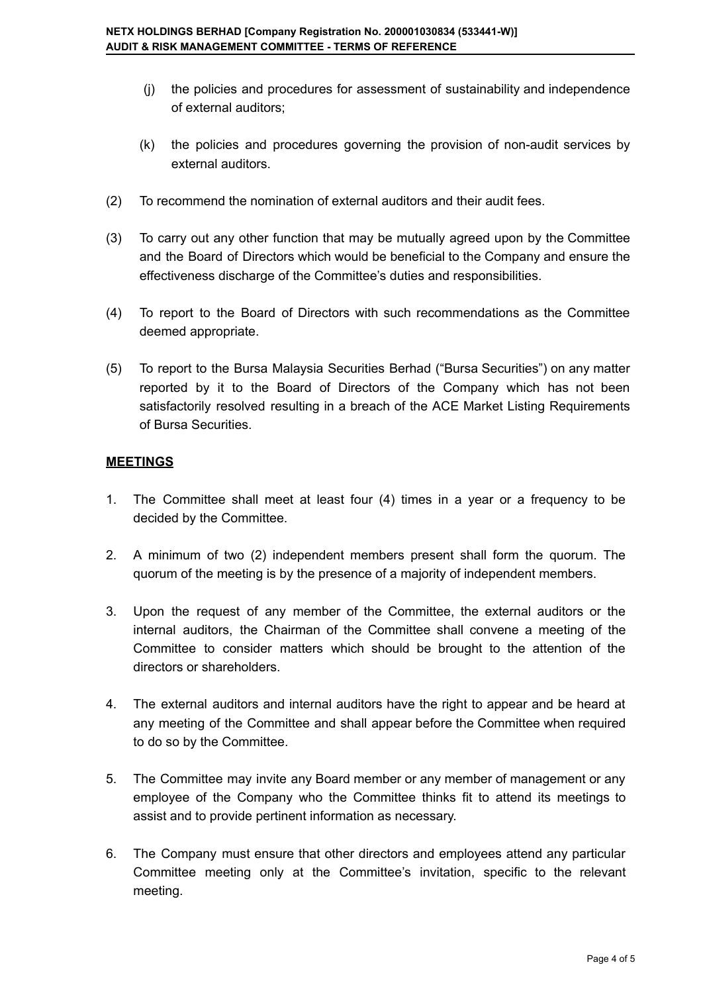- (j) the policies and procedures for assessment of sustainability and independence of external auditors;
- (k) the policies and procedures governing the provision of non-audit services by external auditors.
- (2) To recommend the nomination of external auditors and their audit fees.
- (3) To carry out any other function that may be mutually agreed upon by the Committee and the Board of Directors which would be beneficial to the Company and ensure the effectiveness discharge of the Committee's duties and responsibilities.
- (4) To report to the Board of Directors with such recommendations as the Committee deemed appropriate.
- (5) To report to the Bursa Malaysia Securities Berhad ("Bursa Securities") on any matter reported by it to the Board of Directors of the Company which has not been satisfactorily resolved resulting in a breach of the ACE Market Listing Requirements of Bursa Securities.

## **MEETINGS**

- 1. The Committee shall meet at least four (4) times in a year or a frequency to be decided by the Committee.
- 2. A minimum of two (2) independent members present shall form the quorum. The quorum of the meeting is by the presence of a majority of independent members.
- 3. Upon the request of any member of the Committee, the external auditors or the internal auditors, the Chairman of the Committee shall convene a meeting of the Committee to consider matters which should be brought to the attention of the directors or shareholders.
- 4. The external auditors and internal auditors have the right to appear and be heard at any meeting of the Committee and shall appear before the Committee when required to do so by the Committee.
- 5. The Committee may invite any Board member or any member of management or any employee of the Company who the Committee thinks fit to attend its meetings to assist and to provide pertinent information as necessary.
- 6. The Company must ensure that other directors and employees attend any particular Committee meeting only at the Committee's invitation, specific to the relevant meeting.